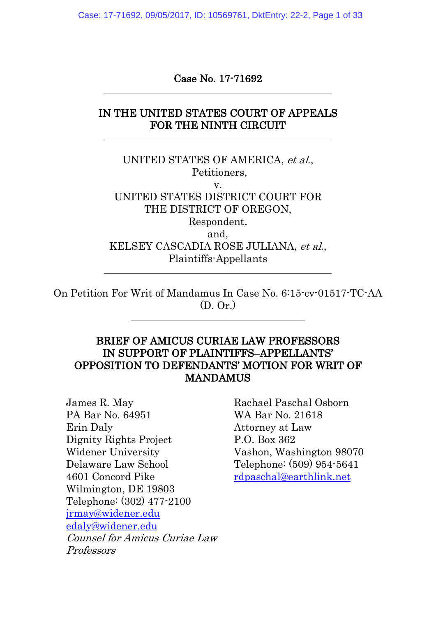Case: 17-71692, 09/05/2017, ID: 10569761, DktEntry: 22-2, Page 1 of 33

#### Case No. 17-71692

### IN THE UNITED STATES COURT OF APPEALS FOR THE NINTH CIRCUIT

UNITED STATES OF AMERICA, et al., Petitioners, v. UNITED STATES DISTRICT COURT FOR THE DISTRICT OF OREGON, Respondent, and, KELSEY CASCADIA ROSE JULIANA, et al., Plaintiffs-Appellants

On Petition For Writ of Mandamus In Case No. 6:15-cv-01517-TC-AA (D. Or.)

#### BRIEF OF AMICUS CURIAE LAW PROFESSORS IN SUPPORT OF PLAINTIFFS–APPELLANTS' OPPOSITION TO DEFENDANTS' MOTION FOR WRIT OF MANDAMUS

James R. May PA Bar No. 64951 Erin Daly Dignity Rights Project Widener University Delaware Law School 4601 Concord Pike Wilmington, DE 19803 Telephone: (302) 477-2100 [jrmay@widener.edu](mailto:jrmay@widener.edu) [edaly@widener.edu](mailto:edaly@widener.edu) Counsel for Amicus Curiae Law Professors

Rachael Paschal Osborn WA Bar No. 21618 Attorney at Law P.O. Box 362 Vashon, Washington 98070 Telephone: (509) 954-5641 [rdpaschal@earthlink.net](mailto:rdpaschal@earthlink.net)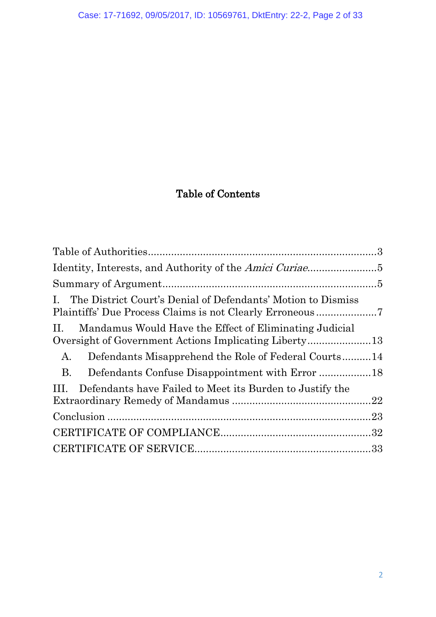# Table of Contents

<span id="page-1-0"></span>

| The District Court's Denial of Defendants' Motion to Dismiss<br>Ι. |     |
|--------------------------------------------------------------------|-----|
| Mandamus Would Have the Effect of Eliminating Judicial<br>П.       |     |
| Defendants Misapprehend the Role of Federal Courts14<br>A.         |     |
| <b>B.</b>                                                          |     |
| Defendants have Failed to Meet its Burden to Justify the<br>Ш.     | .22 |
|                                                                    |     |
|                                                                    |     |
|                                                                    |     |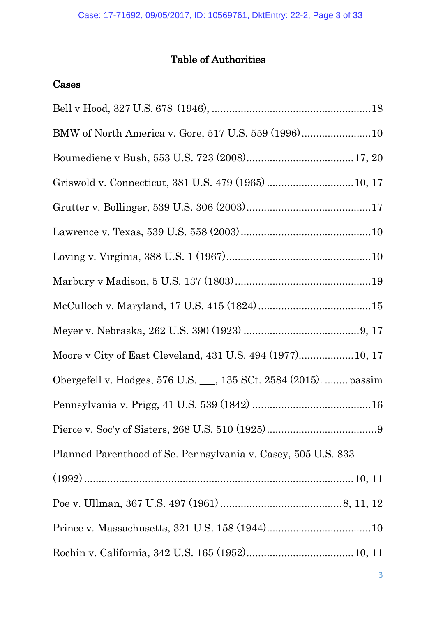## Table of Authorities

## Cases

| Griswold v. Connecticut, 381 U.S. 479 (1965)  10, 17             |
|------------------------------------------------------------------|
|                                                                  |
|                                                                  |
|                                                                  |
|                                                                  |
|                                                                  |
|                                                                  |
| Moore v City of East Cleveland, 431 U.S. 494 (1977) 10, 17       |
| Obergefell v. Hodges, 576 U.S. __, 135 SCt. 2584 (2015).  passim |
|                                                                  |
|                                                                  |
| Planned Parenthood of Se. Pennsylvania v. Casey, 505 U.S. 833    |
|                                                                  |
|                                                                  |
|                                                                  |
|                                                                  |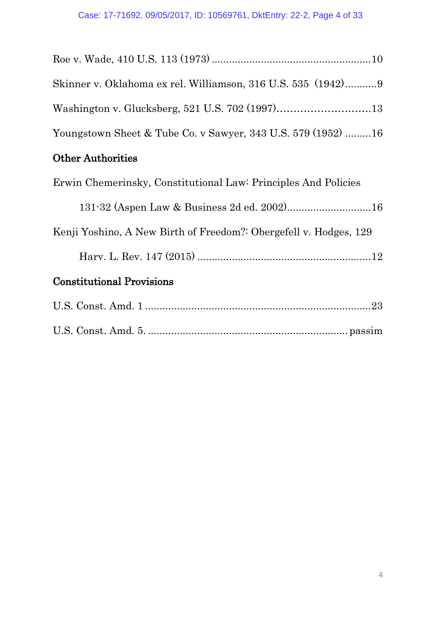| Skinner v. Oklahoma ex rel. Williamson, 316 U.S. 535 (1942)9      |
|-------------------------------------------------------------------|
|                                                                   |
| Youngstown Sheet & Tube Co. v Sawyer, 343 U.S. 579 (1952) 16      |
| <b>Other Authorities</b>                                          |
| Erwin Chemerinsky, Constitutional Law: Principles And Policies    |
| 131-32 (Aspen Law & Business 2d ed. 2002) 16                      |
| Kenji Yoshino, A New Birth of Freedom?: Obergefell v. Hodges, 129 |

Harv. L. Rev. 147 (2015) ............................................................12

## Constitutional Provisions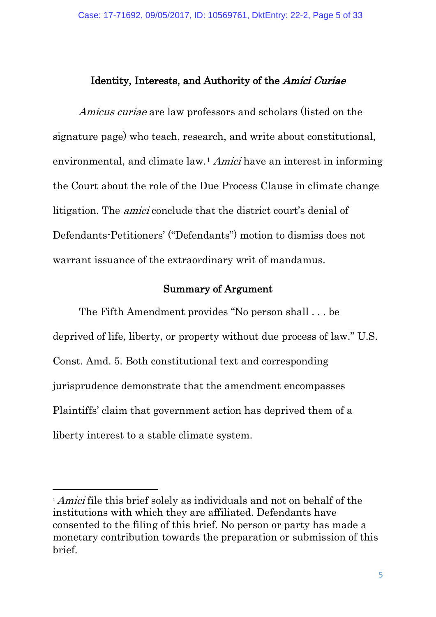#### <span id="page-4-0"></span>Identity, Interests, and Authority of the Amici Curiae

Amicus curiae are law professors and scholars (listed on the signature page) who teach, research, and write about constitutional, environmental, and climate law.<sup>[1](#page-4-2)</sup> Amici have an interest in informing the Court about the role of the Due Process Clause in climate change litigation. The amici conclude that the district court's denial of Defendants-Petitioners' ("Defendants") motion to dismiss does not warrant issuance of the extraordinary writ of mandamus.

#### Summary of Argument

<span id="page-4-1"></span>The Fifth Amendment provides "No person shall . . . be deprived of life, liberty, or property without due process of law." U.S. Const. Amd. 5. Both constitutional text and corresponding jurisprudence demonstrate that the amendment encompasses Plaintiffs' claim that government action has deprived them of a liberty interest to a stable climate system.

-

<span id="page-4-2"></span><sup>&</sup>lt;sup>1</sup> *Amici* file this brief solely as individuals and not on behalf of the institutions with which they are affiliated. Defendants have consented to the filing of this brief. No person or party has made a monetary contribution towards the preparation or submission of this brief.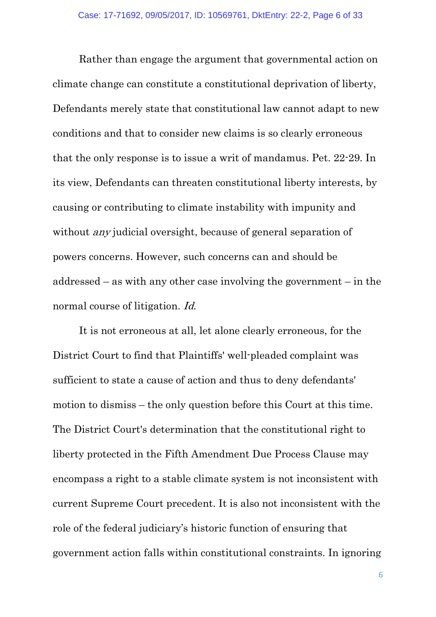Rather than engage the argument that governmental action on climate change can constitute a constitutional deprivation of liberty, Defendants merely state that constitutional law cannot adapt to new conditions and that to consider new claims is so clearly erroneous that the only response is to issue a writ of mandamus. Pet. 22-29. In its view, Defendants can threaten constitutional liberty interests, by causing or contributing to climate instability with impunity and without *any* judicial oversight, because of general separation of powers concerns. However, such concerns can and should be addressed – as with any other case involving the government – in the normal course of litigation. Id.

It is not erroneous at all, let alone clearly erroneous, for the District Court to find that Plaintiffs' well-pleaded complaint was sufficient to state a cause of action and thus to deny defendants' motion to dismiss – the only question before this Court at this time. The District Court's determination that the constitutional right to liberty protected in the Fifth Amendment Due Process Clause may encompass a right to a stable climate system is not inconsistent with current Supreme Court precedent. It is also not inconsistent with the role of the federal judiciary's historic function of ensuring that government action falls within constitutional constraints. In ignoring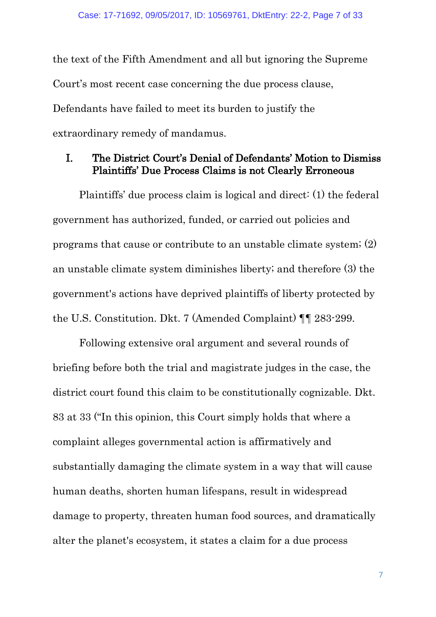the text of the Fifth Amendment and all but ignoring the Supreme Court's most recent case concerning the due process clause, Defendants have failed to meet its burden to justify the extraordinary remedy of mandamus.

#### <span id="page-6-0"></span>I. The District Court's Denial of Defendants' Motion to Dismiss Plaintiffs' Due Process Claims is not Clearly Erroneous

Plaintiffs' due process claim is logical and direct: (1) the federal government has authorized, funded, or carried out policies and programs that cause or contribute to an unstable climate system; (2) an unstable climate system diminishes liberty; and therefore (3) the government's actions have deprived plaintiffs of liberty protected by the U.S. Constitution. Dkt. 7 (Amended Complaint) ¶¶ 283-299.

Following extensive oral argument and several rounds of briefing before both the trial and magistrate judges in the case, the district court found this claim to be constitutionally cognizable. Dkt. 83 at 33 ("In this opinion, this Court simply holds that where a complaint alleges governmental action is affirmatively and substantially damaging the climate system in a way that will cause human deaths, shorten human lifespans, result in widespread damage to property, threaten human food sources, and dramatically alter the planet's ecosystem, it states a claim for a due process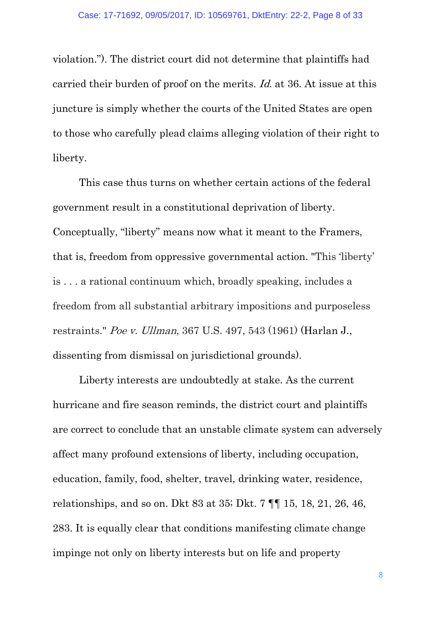violation."). The district court did not determine that plaintiffs had carried their burden of proof on the merits. Id. at 36. At issue at this juncture is simply whether the courts of the United States are open to those who carefully plead claims alleging violation of their right to liberty.

This case thus turns on whether certain actions of the federal government result in a constitutional deprivation of liberty. Conceptually, "liberty" means now what it meant to the Framers, that is, freedom from oppressive governmental action. "This 'liberty' is . . . a rational continuum which, broadly speaking, includes a freedom from all substantial arbitrary impositions and purposeless restraints." Poe v. Ullman, 367 U.S. 497, 543 (1961) (Harlan J., dissenting from dismissal on jurisdictional grounds).

Liberty interests are undoubtedly at stake. As the current hurricane and fire season reminds, the district court and plaintiffs are correct to conclude that an unstable climate system can adversely affect many profound extensions of liberty, including occupation, education, family, food, shelter, travel, drinking water, residence, relationships, and so on. Dkt 83 at 35; Dkt. 7 ¶¶ 15, 18, 21, 26, 46, 283. It is equally clear that conditions manifesting climate change impinge not only on liberty interests but on life and property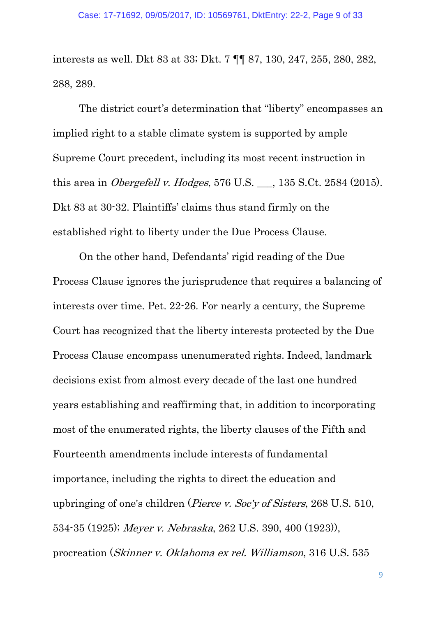interests as well. Dkt 83 at 33; Dkt. 7 ¶¶ 87, 130, 247, 255, 280, 282, 288, 289.

The district court's determination that "liberty" encompasses an implied right to a stable climate system is supported by ample Supreme Court precedent, including its most recent instruction in this area in *Obergefell v. Hodges*,  $576$  U.S.  $\qquad$ ,  $135$  S.Ct. 2584 (2015). Dkt 83 at 30-32. Plaintiffs' claims thus stand firmly on the established right to liberty under the Due Process Clause.

On the other hand, Defendants' rigid reading of the Due Process Clause ignores the jurisprudence that requires a balancing of interests over time. Pet. 22-26. For nearly a century, the Supreme Court has recognized that the liberty interests protected by the Due Process Clause encompass unenumerated rights. Indeed, landmark decisions exist from almost every decade of the last one hundred years establishing and reaffirming that, in addition to incorporating most of the enumerated rights, the liberty clauses of the Fifth and Fourteenth amendments include interests of fundamental importance, including the rights to direct the education and upbringing of one's children (Pierce v. Soc'y of Sisters, 268 U.S. 510, 534-35 (1925); Meyer v. Nebraska, 262 U.S. 390, 400 (1923)), procreation (Skinner v. Oklahoma ex rel. Williamson, 316 U.S. 535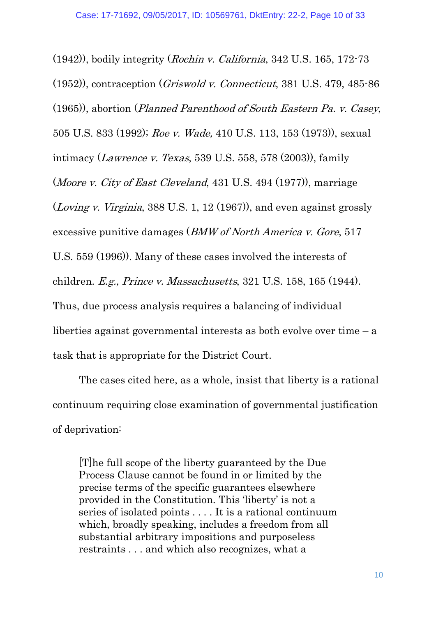(1942)), bodily integrity (Rochin v. California, 342 U.S. 165, 172-73 (1952)), contraception (Griswold v. Connecticut, 381 U.S. 479, 485-86 (1965)), abortion (Planned Parenthood of South Eastern Pa. v. Casey, 505 U.S. 833 (1992); Roe v. Wade, 410 U.S. 113, 153 (1973)), sexual intimacy (*Lawrence v. Texas*, 539 U.S. 558, 578 (2003)), family (Moore v. City of East Cleveland, 431 U.S. 494 (1977)), marriage (Loving v. Virginia, 388 U.S. 1, 12 (1967)), and even against grossly excessive punitive damages (BMW of North America v. Gore, 517 U.S. 559 (1996)). Many of these cases involved the interests of children. E.g., Prince v. Massachusetts, 321 U.S. 158, 165 (1944). Thus, due process analysis requires a balancing of individual liberties against governmental interests as both evolve over time – a task that is appropriate for the District Court.

The cases cited here, as a whole, insist that liberty is a rational continuum requiring close examination of governmental justification of deprivation:

[T]he full scope of the liberty guaranteed by the Due Process Clause cannot be found in or limited by the precise terms of the specific guarantees elsewhere provided in the Constitution. This 'liberty' is not a series of isolated points . . . . It is a rational continuum which, broadly speaking, includes a freedom from all substantial arbitrary impositions and purposeless restraints . . . and which also recognizes, what a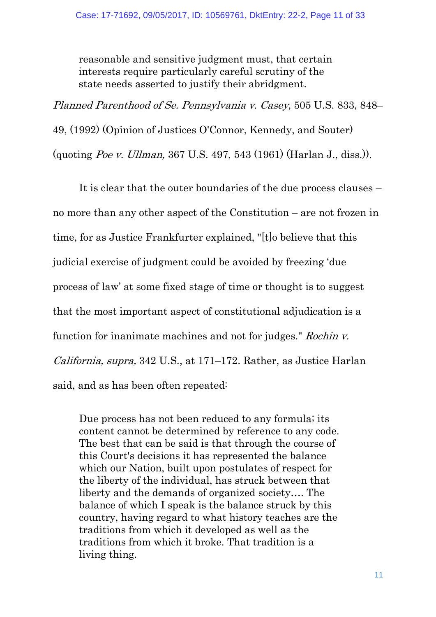reasonable and sensitive judgment must, that certain interests require particularly careful scrutiny of the state needs asserted to justify their abridgment.

Planned Parenthood of Se. Pennsylvania v. Casey, 505 U.S. 833, 848– 49, (1992) (Opinion of Justices O'Connor, Kennedy, and Souter) (quoting Poe v. Ullman, 367 U.S. 497, 543 (1961) (Harlan J., diss.)).

It is clear that the outer boundaries of the due process clauses – no more than any other aspect of the Constitution – are not frozen in time, for as Justice Frankfurter explained, "[t]o believe that this judicial exercise of judgment could be avoided by freezing 'due process of law' at some fixed stage of time or thought is to suggest that the most important aspect of constitutional adjudication is a function for inanimate machines and not for judges." Rochin v. California, supra, 342 U.S., at 171–172. Rather, as Justice Harlan said, and as has been often repeated:

Due process has not been reduced to any formula; its content cannot be determined by reference to any code. The best that can be said is that through the course of this Court's decisions it has represented the balance which our Nation, built upon postulates of respect for the liberty of the individual, has struck between that liberty and the demands of organized society…. The balance of which I speak is the balance struck by this country, having regard to what history teaches are the traditions from which it developed as well as the traditions from which it broke. That tradition is a living thing.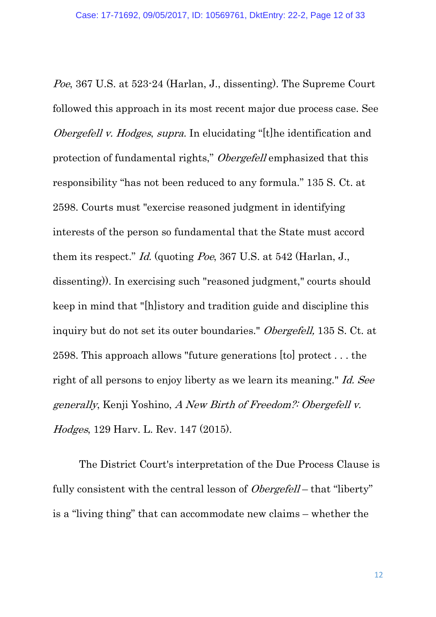Poe, 367 U.S. at 523-24 (Harlan, J., dissenting). The Supreme Court followed this approach in its most recent major due process case. See *Obergefell v. Hodges, supra.* In elucidating "[t]he identification and protection of fundamental rights," Obergefell emphasized that this responsibility "has not been reduced to any formula." 135 S. Ct. at 2598. Courts must "exercise reasoned judgment in identifying interests of the person so fundamental that the State must accord them its respect." Id. (quoting Poe, 367 U.S. at 542 (Harlan, J., dissenting)). In exercising such "reasoned judgment," courts should keep in mind that "[h]istory and tradition guide and discipline this inquiry but do not set its outer boundaries." Obergefell, 135 S. Ct. at 2598. This approach allows "future generations [to] protect . . . the right of all persons to enjoy liberty as we learn its meaning." Id. See generally, Kenji Yoshino, A New Birth of Freedom?: Obergefell v. Hodges, 129 Harv. L. Rev. 147 (2015).

The District Court's interpretation of the Due Process Clause is fully consistent with the central lesson of *Obergefell* – that "liberty" is a "living thing" that can accommodate new claims – whether the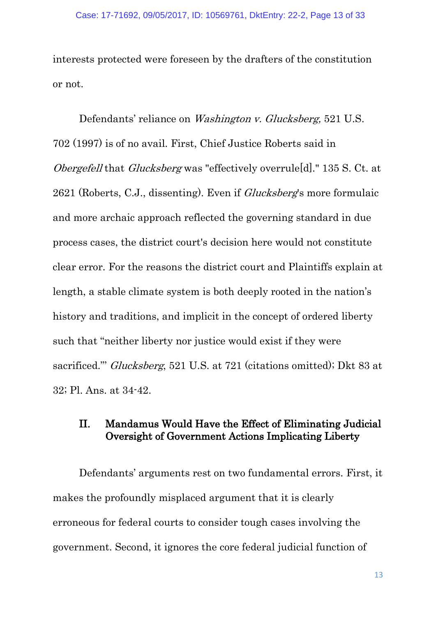interests protected were foreseen by the drafters of the constitution or not.

Defendants' reliance on Washington v. Glucksberg, 521 U.S. 702 (1997) is of no avail. First, Chief Justice Roberts said in Obergefell that Glucksberg was "effectively overrule[d]." 135 S. Ct. at 2621 (Roberts, C.J., dissenting). Even if Glucksberg's more formulaic and more archaic approach reflected the governing standard in due process cases, the district court's decision here would not constitute clear error. For the reasons the district court and Plaintiffs explain at length, a stable climate system is both deeply rooted in the nation's history and traditions, and implicit in the concept of ordered liberty such that "neither liberty nor justice would exist if they were sacrificed."' Glucksberg, 521 U.S. at 721 (citations omitted); Dkt 83 at 32; Pl. Ans. at 34-42.

## <span id="page-12-0"></span>II. Mandamus Would Have the Effect of Eliminating Judicial Oversight of Government Actions Implicating Liberty

Defendants' arguments rest on two fundamental errors. First, it makes the profoundly misplaced argument that it is clearly erroneous for federal courts to consider tough cases involving the government. Second, it ignores the core federal judicial function of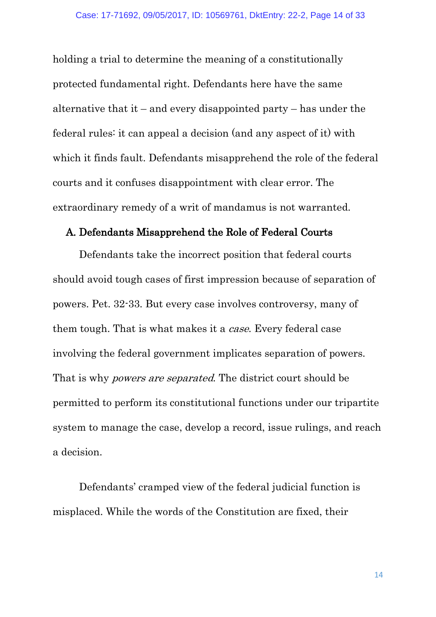holding a trial to determine the meaning of a constitutionally protected fundamental right. Defendants here have the same alternative that it – and every disappointed party – has under the federal rules: it can appeal a decision (and any aspect of it) with which it finds fault. Defendants misapprehend the role of the federal courts and it confuses disappointment with clear error. The extraordinary remedy of a writ of mandamus is not warranted.

#### <span id="page-13-0"></span>A. Defendants Misapprehend the Role of Federal Courts

Defendants take the incorrect position that federal courts should avoid tough cases of first impression because of separation of powers. Pet. 32-33. But every case involves controversy, many of them tough. That is what makes it a *case*. Every federal case involving the federal government implicates separation of powers. That is why powers are separated. The district court should be permitted to perform its constitutional functions under our tripartite system to manage the case, develop a record, issue rulings, and reach a decision.

Defendants' cramped view of the federal judicial function is misplaced. While the words of the Constitution are fixed, their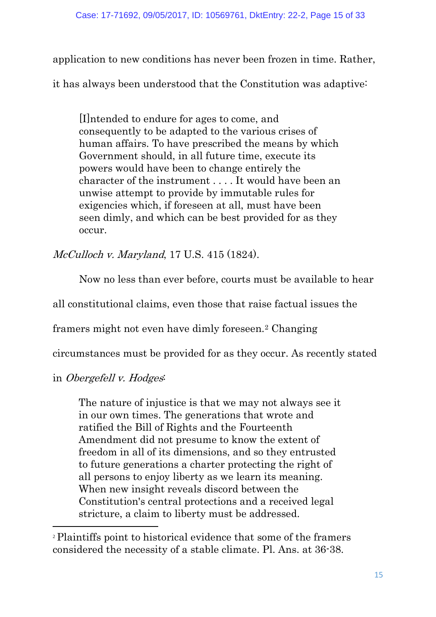application to new conditions has never been frozen in time. Rather,

it has always been understood that the Constitution was adaptive:

[I]ntended to endure for ages to come, and consequently to be adapted to the various crises of human affairs. To have prescribed the means by which Government should, in all future time, execute its powers would have been to change entirely the character of the instrument . . . . It would have been an unwise attempt to provide by immutable rules for exigencies which, if foreseen at all, must have been seen dimly, and which can be best provided for as they occur.

McCulloch v. Maryland, 17 U.S. 415 (1824).

Now no less than ever before, courts must be available to hear

all constitutional claims, even those that raise factual issues the

framers might not even have dimly foreseen.[2](#page-14-0) Changing

circumstances must be provided for as they occur. As recently stated

in Obergefell v. Hodges:

1

The nature of injustice is that we may not always see it in our own times. The generations that wrote and ratified the Bill of Rights and the Fourteenth Amendment did not presume to know the extent of freedom in all of its dimensions, and so they entrusted to future generations a charter protecting the right of all persons to enjoy liberty as we learn its meaning. When new insight reveals discord between the Constitution's central protections and a received legal stricture, a claim to liberty must be addressed.

<span id="page-14-0"></span><sup>2</sup> Plaintiffs point to historical evidence that some of the framers considered the necessity of a stable climate. Pl. Ans. at 36-38.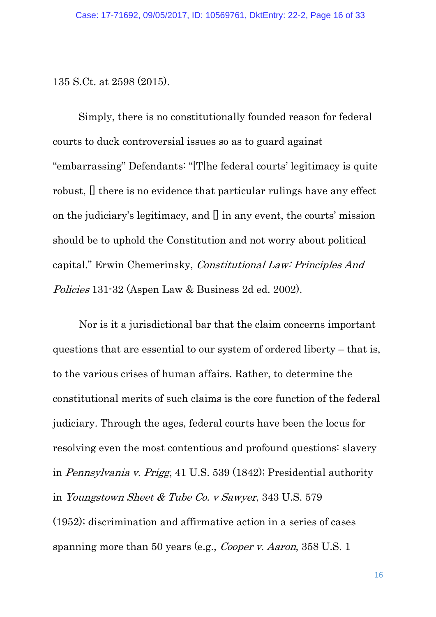135 S.Ct. at 2598 (2015).

Simply, there is no constitutionally founded reason for federal courts to duck controversial issues so as to guard against "embarrassing" Defendants: "[T]he federal courts' legitimacy is quite robust, [] there is no evidence that particular rulings have any effect on the judiciary's legitimacy, and [] in any event, the courts' mission should be to uphold the Constitution and not worry about political capital." Erwin Chemerinsky, Constitutional Law: Principles And Policies 131-32 (Aspen Law & Business 2d ed. 2002).

Nor is it a jurisdictional bar that the claim concerns important questions that are essential to our system of ordered liberty – that is, to the various crises of human affairs. Rather, to determine the constitutional merits of such claims is the core function of the federal judiciary. Through the ages, federal courts have been the locus for resolving even the most contentious and profound questions: slavery in Pennsylvania v. Prigg, 41 U.S. 539 (1842); Presidential authority in Youngstown Sheet & Tube Co. v Sawyer, 343 U.S. 579 (1952); discrimination and affirmative action in a series of cases spanning more than 50 years (e.g., *Cooper v. Aaron*, 358 U.S. 1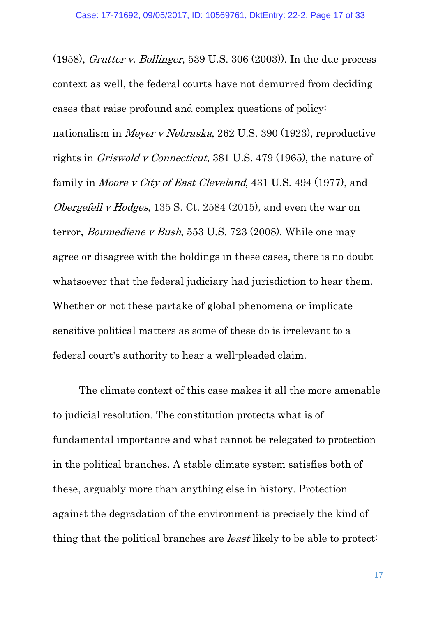(1958), *Grutter v. Bollinger*, 539 U.S. 306 (2003)). In the due process context as well, the federal courts have not demurred from deciding cases that raise profound and complex questions of policy: nationalism in Meyer v Nebraska, 262 U.S. 390 (1923), reproductive rights in Griswold v Connecticut, 381 U.S. 479 (1965), the nature of family in *Moore v City of East Cleveland*, 431 U.S. 494 (1977), and Obergefell v Hodges, 135 S. Ct. 2584 (2015), and even the war on terror, Boumediene v Bush, 553 U.S. 723 (2008). While one may agree or disagree with the holdings in these cases, there is no doubt whatsoever that the federal judiciary had jurisdiction to hear them. Whether or not these partake of global phenomena or implicate sensitive political matters as some of these do is irrelevant to a federal court's authority to hear a well-pleaded claim.

The climate context of this case makes it all the more amenable to judicial resolution. The constitution protects what is of fundamental importance and what cannot be relegated to protection in the political branches. A stable climate system satisfies both of these, arguably more than anything else in history. Protection against the degradation of the environment is precisely the kind of thing that the political branches are least likely to be able to protect: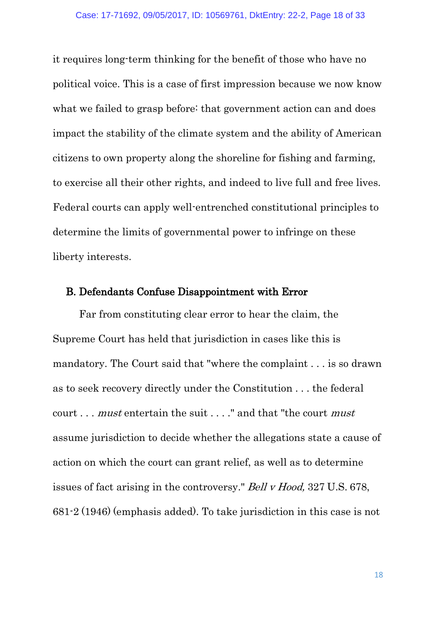it requires long-term thinking for the benefit of those who have no political voice. This is a case of first impression because we now know what we failed to grasp before: that government action can and does impact the stability of the climate system and the ability of American citizens to own property along the shoreline for fishing and farming, to exercise all their other rights, and indeed to live full and free lives. Federal courts can apply well-entrenched constitutional principles to determine the limits of governmental power to infringe on these liberty interests.

#### <span id="page-17-0"></span>B. Defendants Confuse Disappointment with Error

Far from constituting clear error to hear the claim, the Supreme Court has held that jurisdiction in cases like this is mandatory. The Court said that "where the complaint . . . is so drawn as to seek recovery directly under the Constitution . . . the federal court . . . must entertain the suit . . . ." and that "the court must assume jurisdiction to decide whether the allegations state a cause of action on which the court can grant relief, as well as to determine issues of fact arising in the controversy." Bell v Hood, 327 U.S. 678, 681-2 (1946) (emphasis added). To take jurisdiction in this case is not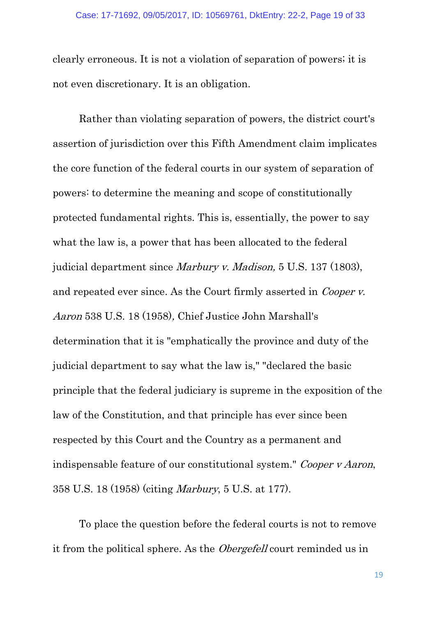clearly erroneous. It is not a violation of separation of powers; it is not even discretionary. It is an obligation.

Rather than violating separation of powers, the district court's assertion of jurisdiction over this Fifth Amendment claim implicates the core function of the federal courts in our system of separation of powers: to determine the meaning and scope of constitutionally protected fundamental rights. This is, essentially, the power to say what the law is, a power that has been allocated to the federal judicial department since Marbury v. Madison, 5 U.S. 137 (1803), and repeated ever since. As the Court firmly asserted in Cooper v. Aaron 538 U.S. 18 (1958), Chief Justice John Marshall's determination that it is "emphatically the province and duty of the judicial department to say what the law is," "declared the basic principle that the federal judiciary is supreme in the exposition of the law of the Constitution, and that principle has ever since been respected by this Court and the Country as a permanent and indispensable feature of our constitutional system." Cooper v Aaron, 358 U.S. 18 (1958) (citing Marbury, 5 U.S. at 177).

To place the question before the federal courts is not to remove it from the political sphere. As the *Obergefell* court reminded us in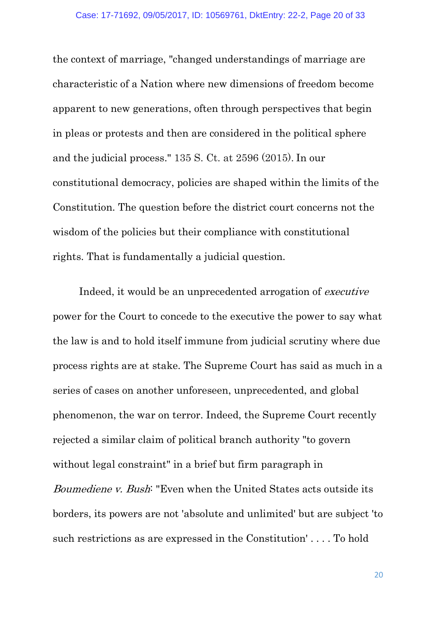the context of marriage, "changed understandings of marriage are characteristic of a Nation where new dimensions of freedom become apparent to new generations, often through perspectives that begin in pleas or protests and then are considered in the political sphere and the judicial process." 135 S. Ct. at 2596 (2015). In our constitutional democracy, policies are shaped within the limits of the Constitution. The question before the district court concerns not the wisdom of the policies but their compliance with constitutional rights. That is fundamentally a judicial question.

Indeed, it would be an unprecedented arrogation of executive power for the Court to concede to the executive the power to say what the law is and to hold itself immune from judicial scrutiny where due process rights are at stake. The Supreme Court has said as much in a series of cases on another unforeseen, unprecedented, and global phenomenon, the war on terror. Indeed, the Supreme Court recently rejected a similar claim of political branch authority "to govern without legal constraint" in a brief but firm paragraph in Boumediene v. Bush: "Even when the United States acts outside its borders, its powers are not 'absolute and unlimited' but are subject 'to

such restrictions as are expressed in the Constitution' . . . . To hold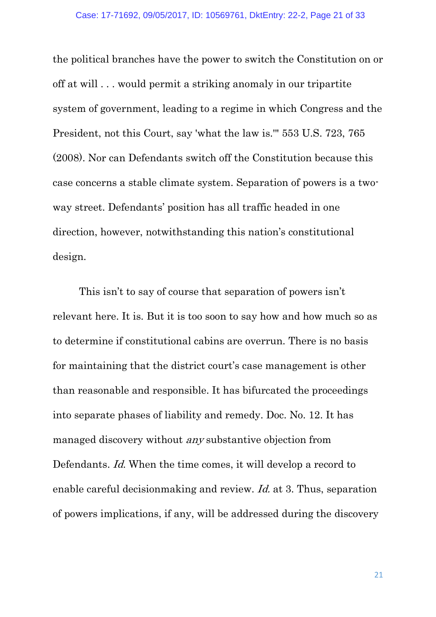the political branches have the power to switch the Constitution on or off at will . . . would permit a striking anomaly in our tripartite system of government, leading to a regime in which Congress and the President, not this Court, say 'what the law is.'" 553 U.S. 723, 765 (2008). Nor can Defendants switch off the Constitution because this case concerns a stable climate system. Separation of powers is a twoway street. Defendants' position has all traffic headed in one direction, however, notwithstanding this nation's constitutional design.

This isn't to say of course that separation of powers isn't relevant here. It is. But it is too soon to say how and how much so as to determine if constitutional cabins are overrun. There is no basis for maintaining that the district court's case management is other than reasonable and responsible. It has bifurcated the proceedings into separate phases of liability and remedy. Doc. No. 12. It has managed discovery without any substantive objection from Defendants. Id. When the time comes, it will develop a record to enable careful decisionmaking and review. Id. at 3. Thus, separation of powers implications, if any, will be addressed during the discovery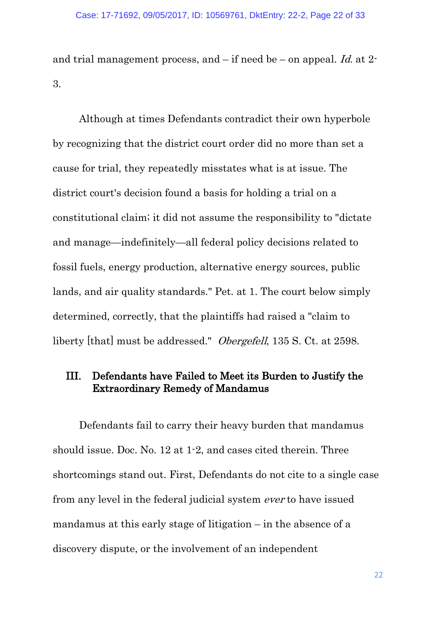and trial management process, and  $-$  if need be  $-$  on appeal. Id. at 2-3.

Although at times Defendants contradict their own hyperbole by recognizing that the district court order did no more than set a cause for trial, they repeatedly misstates what is at issue. The district court's decision found a basis for holding a trial on a constitutional claim; it did not assume the responsibility to "dictate and manage—indefinitely—all federal policy decisions related to fossil fuels, energy production, alternative energy sources, public lands, and air quality standards." Pet. at 1. The court below simply determined, correctly, that the plaintiffs had raised a "claim to liberty [that] must be addressed." Obergefell, 135 S. Ct. at 2598.

## <span id="page-21-0"></span>III. Defendants have Failed to Meet its Burden to Justify the Extraordinary Remedy of Mandamus

Defendants fail to carry their heavy burden that mandamus should issue. Doc. No. 12 at 1-2, and cases cited therein. Three shortcomings stand out. First, Defendants do not cite to a single case from any level in the federal judicial system ever to have issued mandamus at this early stage of litigation – in the absence of a discovery dispute, or the involvement of an independent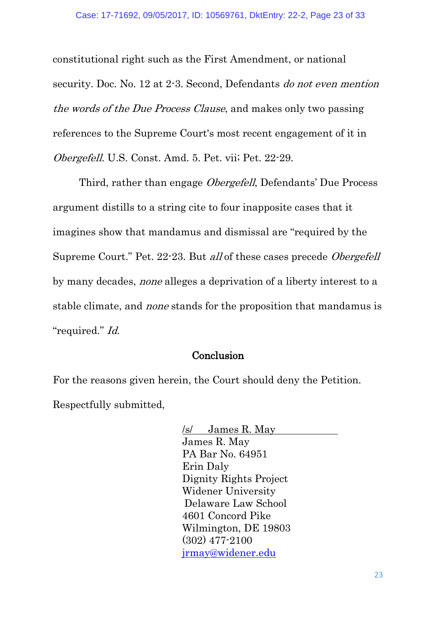constitutional right such as the First Amendment, or national security. Doc. No. 12 at 2-3. Second, Defendants do not even mention the words of the Due Process Clause, and makes only two passing references to the Supreme Court's most recent engagement of it in Obergefell. U.S. Const. Amd. 5. Pet. vii; Pet. 22-29.

Third, rather than engage Obergefell, Defendants' Due Process argument distills to a string cite to four inapposite cases that it imagines show that mandamus and dismissal are "required by the Supreme Court." Pet. 22-23. But all of these cases precede Obergefell by many decades, none alleges a deprivation of a liberty interest to a stable climate, and none stands for the proposition that mandamus is "required." Id.

#### **Conclusion**

<span id="page-22-0"></span>For the reasons given herein, the Court should deny the Petition. Respectfully submitted,

> /s/ James R. May James R. May PA Bar No. 64951 Erin Daly Dignity Rights Project Widener University Delaware Law School 4601 Concord Pike Wilmington, DE 19803 (302) 477-2100 [jrmay@widener.edu](mailto:jrmay@widener.edu)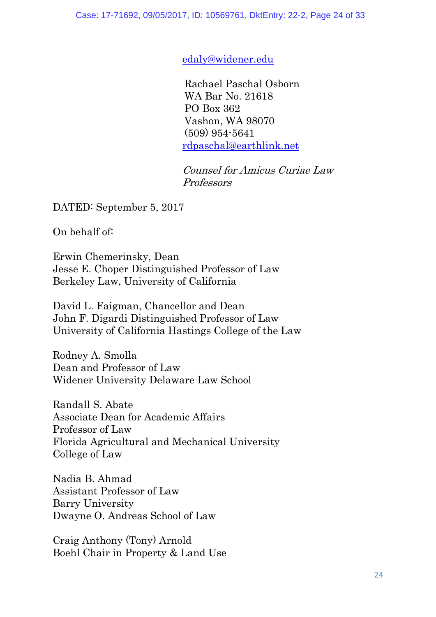[edaly@widener.edu](mailto:edaly@widener.edu)

Rachael Paschal Osborn WA Bar No. 21618 PO Box 362 Vashon, WA 98070 (509) 954-5641 [rdpaschal@earthlink.net](mailto:rdpaschal@earthlink.net)

Counsel for Amicus Curiae Law Professors

DATED: September 5, 2017

On behalf of:

Erwin Chemerinsky, Dean Jesse E. Choper Distinguished Professor of Law Berkeley Law, University of California

David L. Faigman, Chancellor and Dean John F. Digardi Distinguished Professor of Law University of California Hastings College of the Law

Rodney A. Smolla Dean and Professor of Law Widener University Delaware Law School

Randall S. Abate Associate Dean for Academic Affairs Professor of Law Florida Agricultural and Mechanical University College of Law

Nadia B. Ahmad Assistant Professor of Law Barry University Dwayne O. Andreas School of Law

Craig Anthony (Tony) Arnold Boehl Chair in Property & Land Use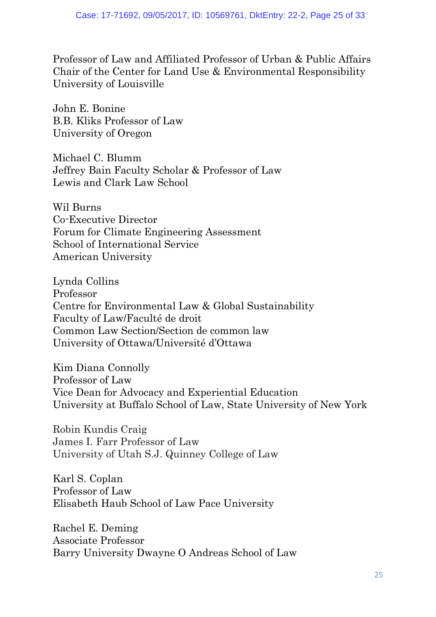Professor of Law and Affiliated Professor of Urban & Public Affairs Chair of the Center for Land Use & Environmental Responsibility University of Louisville

John E. Bonine B.B. Kliks Professor of Law University of Oregon

Michael C. Blumm Jeffrey Bain Faculty Scholar & Professor of Law Lewis and Clark Law School

Wil Burns Co-Executive Director Forum for Climate Engineering Assessment School of International Service American University

Lynda Collins Professor Centre for Environmental Law & Global Sustainability Faculty of Law/Faculté de droit Common Law Section/Section de common law University of Ottawa/Université d'Ottawa

Kim Diana Connolly Professor of Law Vice Dean for Advocacy and Experiential Education University at Buffalo School of Law, State University of New York

Robin Kundis Craig James I. Farr Professor of Law University of Utah S.J. Quinney College of Law

Karl S. Coplan Professor of Law Elisabeth Haub School of Law Pace University

Rachel E. Deming Associate Professor Barry University Dwayne O Andreas School of Law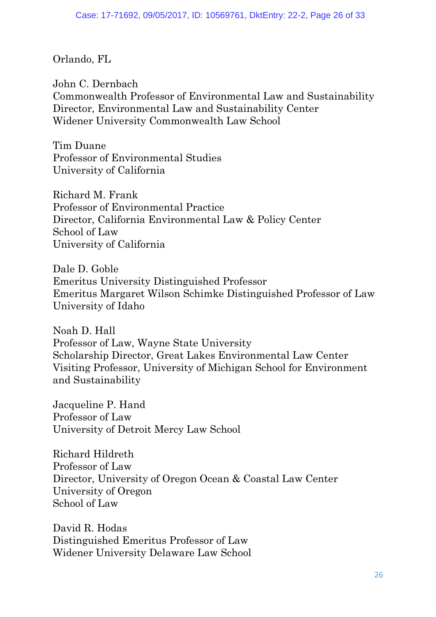Orlando, FL

John C. Dernbach Commonwealth Professor of Environmental Law and Sustainability Director, Environmental Law and Sustainability Center Widener University Commonwealth Law School

Tim Duane Professor of Environmental Studies University of California

Richard M. Frank Professor of Environmental Practice Director, California Environmental Law & Policy Center School of Law University of California

Dale D. Goble Emeritus University Distinguished Professor Emeritus Margaret Wilson Schimke Distinguished Professor of Law University of Idaho

Noah D. Hall Professor of Law, Wayne State University Scholarship Director, Great Lakes Environmental Law Center Visiting Professor, University of Michigan School for Environment and Sustainability

Jacqueline P. Hand Professor of Law University of Detroit Mercy Law School

Richard Hildreth Professor of Law Director, University of Oregon Ocean & Coastal Law Center University of Oregon School of Law

David R. Hodas Distinguished Emeritus Professor of Law Widener University Delaware Law School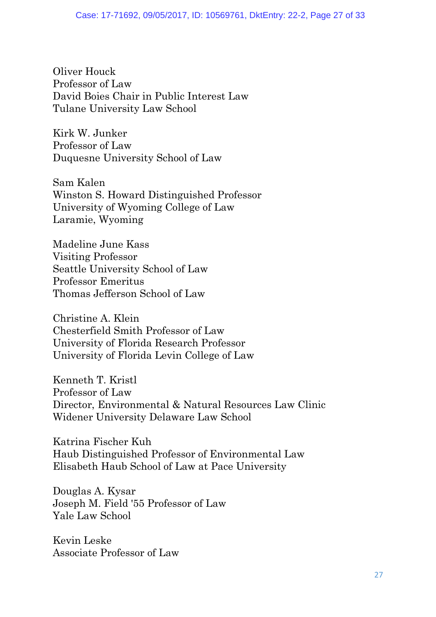Oliver Houck Professor of Law David Boies Chair in Public Interest Law Tulane University Law School

Kirk W. Junker Professor of Law Duquesne University School of Law

Sam Kalen Winston S. Howard Distinguished Professor University of Wyoming College of Law Laramie, Wyoming

Madeline June Kass Visiting Professor Seattle University School of Law Professor Emeritus Thomas Jefferson School of Law

Christine A. Klein Chesterfield Smith Professor of Law University of Florida Research Professor University of Florida Levin College of Law

Kenneth T. Kristl Professor of Law Director, Environmental & Natural Resources Law Clinic Widener University Delaware Law School

Katrina Fischer Kuh Haub Distinguished Professor of Environmental Law Elisabeth Haub School of Law at Pace University

Douglas A. Kysar Joseph M. Field '55 Professor of Law Yale Law School

Kevin Leske Associate Professor of Law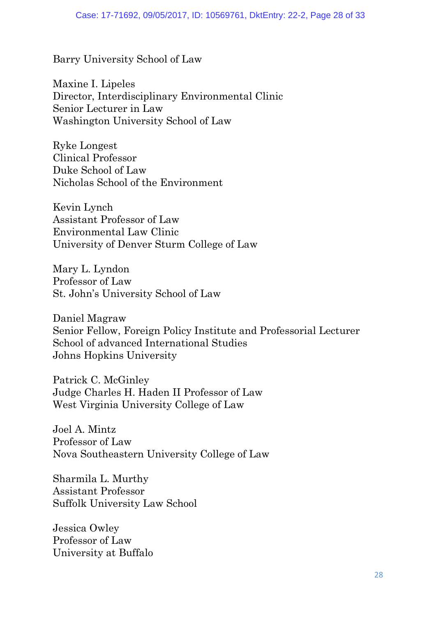Barry University School of Law

Maxine I. Lipeles Director, Interdisciplinary Environmental Clinic Senior Lecturer in Law Washington University School of Law

Ryke Longest Clinical Professor Duke School of Law Nicholas School of the Environment

Kevin Lynch Assistant Professor of Law Environmental Law Clinic University of Denver Sturm College of Law

Mary L. Lyndon Professor of Law St. John's University School of Law

Daniel Magraw Senior Fellow, Foreign Policy Institute and Professorial Lecturer School of advanced International Studies Johns Hopkins University

Patrick C. McGinley Judge Charles H. Haden II Professor of Law West Virginia University College of Law

Joel A. Mintz Professor of Law Nova Southeastern University College of Law

Sharmila L. Murthy Assistant Professor Suffolk University Law School

Jessica Owley Professor of Law University at Buffalo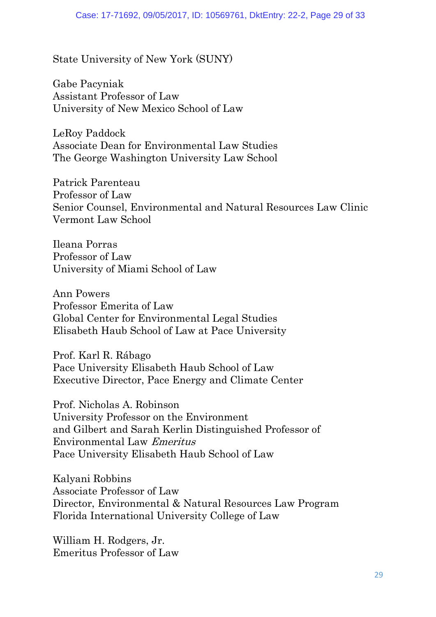State University of New York (SUNY)

Gabe Pacyniak Assistant Professor of Law University of New Mexico School of Law

LeRoy Paddock Associate Dean for Environmental Law Studies The George Washington University Law School

Patrick Parenteau Professor of Law Senior Counsel, Environmental and Natural Resources Law Clinic Vermont Law School

Ileana Porras Professor of Law University of Miami School of Law

Ann Powers Professor Emerita of Law Global Center for Environmental Legal Studies Elisabeth Haub School of Law at Pace University

Prof. Karl R. Rábago Pace University Elisabeth Haub School of Law Executive Director, Pace Energy and Climate Center

Prof. Nicholas A. Robinson University Professor on the Environment and Gilbert and Sarah Kerlin Distinguished Professor of Environmental Law Emeritus Pace University Elisabeth Haub School of Law

Kalyani Robbins Associate Professor of Law Director, Environmental & Natural Resources Law Program Florida International University College of Law

William H. Rodgers, Jr. Emeritus Professor of Law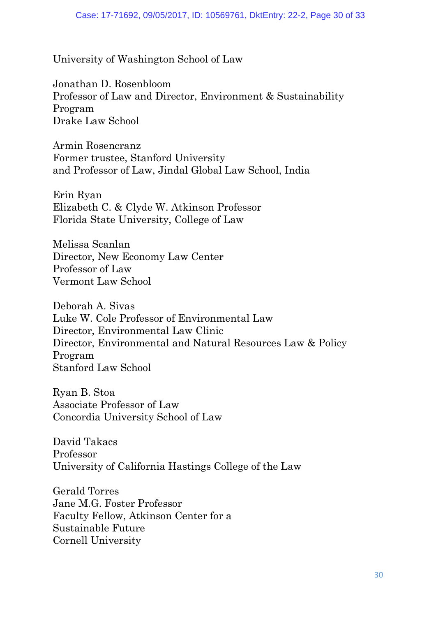University of Washington School of Law

Jonathan D. Rosenbloom Professor of Law and Director, Environment & Sustainability Program Drake Law School

Armin Rosencranz Former trustee, Stanford University and Professor of Law, Jindal Global Law School, India

Erin Ryan Elizabeth C. & Clyde W. Atkinson Professor Florida State University, College of Law

Melissa Scanlan Director, New Economy Law Center Professor of Law Vermont Law School

Deborah A. Sivas Luke W. Cole Professor of Environmental Law Director, Environmental Law Clinic Director, Environmental and Natural Resources Law & Policy Program Stanford Law School

Ryan B. Stoa Associate Professor of Law Concordia University School of Law

David Takacs Professor University of California Hastings College of the Law

Gerald Torres Jane M.G. Foster Professor Faculty Fellow, Atkinson Center for a Sustainable Future Cornell University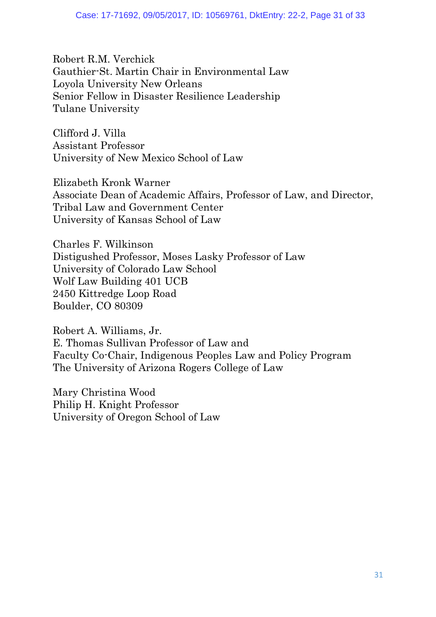Robert R.M. Verchick Gauthier-St. Martin Chair in Environmental Law Loyola University New Orleans Senior Fellow in Disaster Resilience Leadership Tulane University

Clifford J. Villa Assistant Professor University of New Mexico School of Law

Elizabeth Kronk Warner Associate Dean of Academic Affairs, Professor of Law, and Director, Tribal Law and Government Center University of Kansas School of Law

Charles F. Wilkinson Distigushed Professor, Moses Lasky Professor of Law University of Colorado Law School Wolf Law Building 401 UCB 2450 Kittredge Loop Road Boulder, CO 80309

Robert A. Williams, Jr. E. Thomas Sullivan Professor of Law and Faculty Co-Chair, Indigenous Peoples Law and Policy Program The University of Arizona Rogers College of Law

<span id="page-30-0"></span>Mary Christina Wood Philip H. Knight Professor University of Oregon School of Law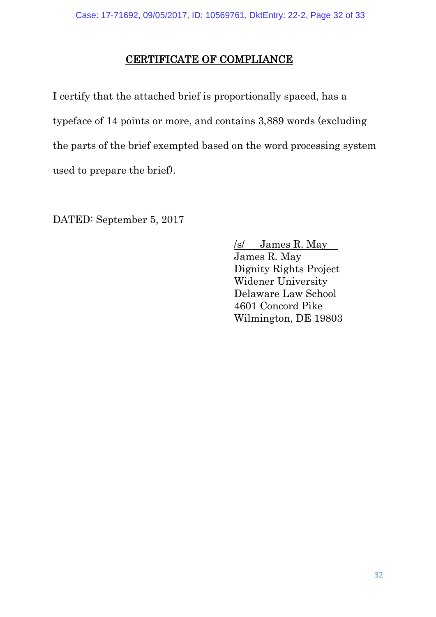## CERTIFICATE OF COMPLIANCE

I certify that the attached brief is proportionally spaced, has a typeface of 14 points or more, and contains 3,889 words (excluding the parts of the brief exempted based on the word processing system used to prepare the brief).

DATED: September 5, 2017

/s/ James R. May James R. May Dignity Rights Project Widener University Delaware Law School 4601 Concord Pike Wilmington, DE 19803